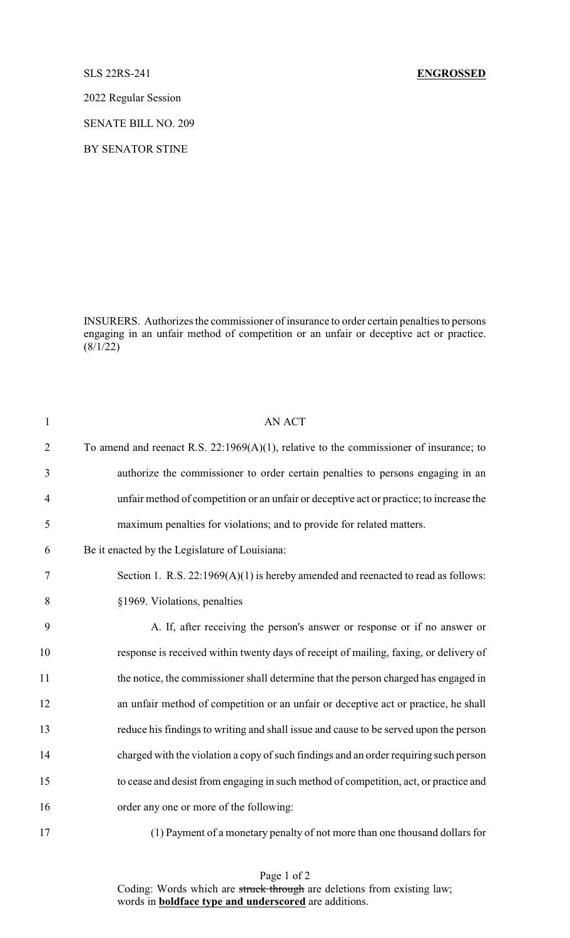## SLS 22RS-241 **ENGROSSED**

2022 Regular Session

SENATE BILL NO. 209

BY SENATOR STINE

INSURERS. Authorizes the commissioner of insurance to order certain penalties to persons engaging in an unfair method of competition or an unfair or deceptive act or practice.  $(8/1/22)$ 

| $\mathbf{1}$   | <b>AN ACT</b>                                                                             |
|----------------|-------------------------------------------------------------------------------------------|
| $\overline{2}$ | To amend and reenact R.S. $22:1969(A)(1)$ , relative to the commissioner of insurance; to |
| 3              | authorize the commissioner to order certain penalties to persons engaging in an           |
| $\overline{4}$ | unfair method of competition or an unfair or deceptive act or practice; to increase the   |
| 5              | maximum penalties for violations; and to provide for related matters.                     |
| 6              | Be it enacted by the Legislature of Louisiana:                                            |
| $\tau$         | Section 1. R.S. $22:1969(A)(1)$ is hereby amended and reenacted to read as follows:       |
| 8              | §1969. Violations, penalties                                                              |
| 9              | A. If, after receiving the person's answer or response or if no answer or                 |
| 10             | response is received within twenty days of receipt of mailing, faxing, or delivery of     |
| 11             | the notice, the commissioner shall determine that the person charged has engaged in       |
| 12             | an unfair method of competition or an unfair or deceptive act or practice, he shall       |
| 13             | reduce his findings to writing and shall issue and cause to be served upon the person     |
| 14             | charged with the violation a copy of such findings and an order requiring such person     |
| 15             | to cease and desist from engaging in such method of competition, act, or practice and     |
| 16             | order any one or more of the following:                                                   |
| 17             | (1) Payment of a monetary penalty of not more than one thousand dollars for               |

Page 1 of 2 Coding: Words which are struck through are deletions from existing law; words in **boldface type and underscored** are additions.